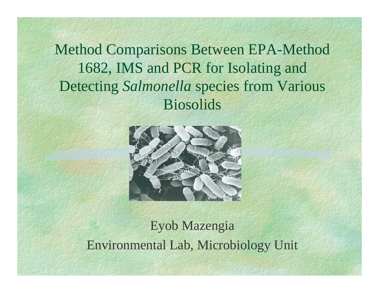Method Comparisons Between EPA-Method 1682, IMS and PCR for Isolating and Detecting *Salmonella* species from Various Biosolids



### Eyob Mazengia Environmental Lab, Microbiology Unit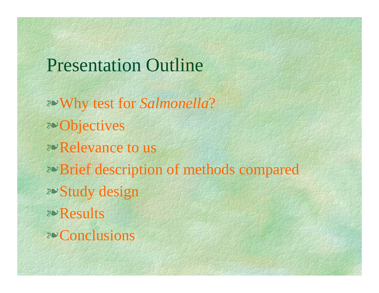Presentation Outline

2<sup>o</sup> Why test for *Salmonella*? *v*Objectives *v* Relevance to us *v*Brief description of methods compared *v*Study design vResultsvConclusions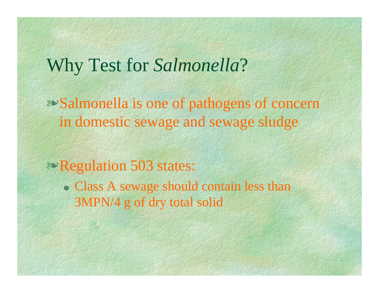# Why Test for *Salmonella*?

**EXA Salmonella is one of pathogens of concerne** in domestic sewage and sewage sludge

**Proportation 503 states:** 

• Class A sewage should contain less than 3MPN/4 g of dry total solid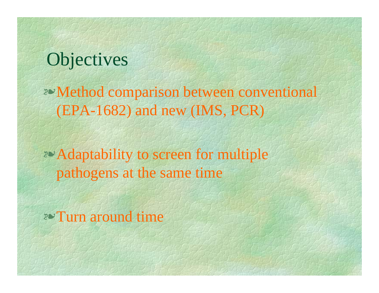# **Objectives**

<sup>v</sup>Method comparison between conventional (EPA-1682) and new (IMS, PCR)

*E* Adaptability to screen for multiple pathogens at the same time

*v*Turn around time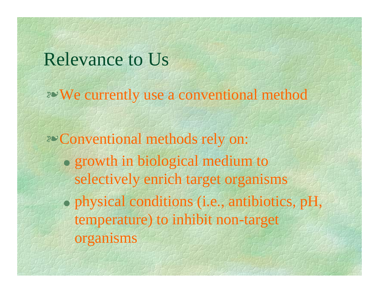# Relevance to Us

<sup>v</sup>We currently use a conventional method

*v* Conventional methods rely on: • growth in biological medium to selectively enrich target organisms  $\bullet$  physical conditions (i.e., antibiotics, pH, temperature) to inhibit non-target organisms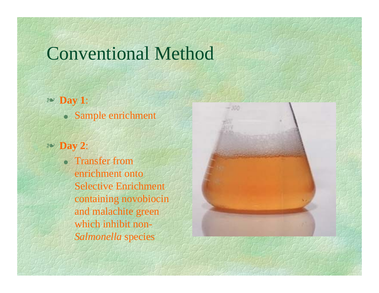# Conventional Method

- v **Day 1**:
	- OSample enrichment
- v **Day 2**:

• Transfer from enrichment onto Selective Enrichment containing novobiocin and malachite green which inhibit non-*Salmonella* species

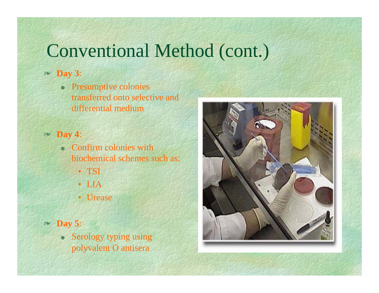# Conventional Method (cont.)

#### v **Day 3**:

O Presumptive colonies transferred onto selective and differential medium

v **Day 4**:

- $\bullet$  Confirm colonies with biochemical schemes such as:
	- TSI
	- LIA
	- Urease

v **Day 5**:

O Serology typing using polyvalent O antisera

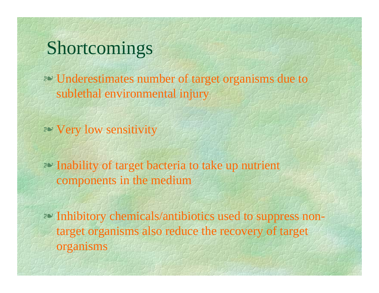# Shortcomings

v Underestimates number of target organisms due to sublethal environmental injury

*P* Very low sensitivity

**PV** Inability of target bacteria to take up nutrient components in the medium

*P* Inhibitory chemicals/antibiotics used to suppress nontarget organisms also reduce the recovery of target organisms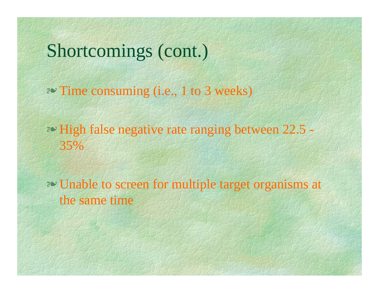# Shortcomings (cont.)

<sup>≥</sup> Time consuming (i.e., 1 to 3 weeks)

<sup>2</sup> High false negative rate ranging between 22.5 – 35%

**Vector Unable to screen for multiple target organisms at** the same time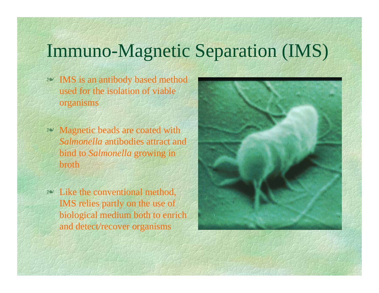# Immuno-Magnetic Separation (IMS)

- v IMS is an antibody based method used for the isolation of viable organisms
- $\approx$  Magnetic beads are coated with *Salmonella* antibodies attract and bind to *Salmonella* growing in broth
- $\sim$  Like the conventional method, IMS relies partly on the use of biological medium both to enrich and detect/recover organisms

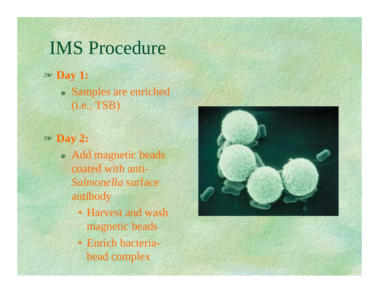## IMS Procedure

v **Day 1:** • Samples are enriched (i.e., TSB)

v **Day 2:**

- Add magnetic beads coated with anti-*Salmonella* surface antibody
	- Harvest and wash magnetic beads
	- Enrich bacteriabead complex

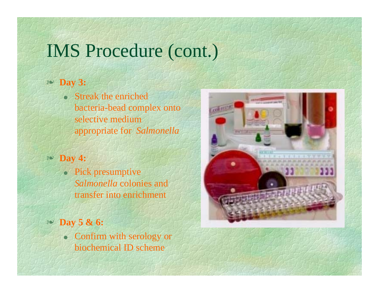# IMS Procedure (cont.)

#### v **Day 3:**

• Streak the enriched bacteria-bead complex onto selective medium appropriate for *Salmonella*

#### v **Day 4:**

- Pick presumptive *Salmonella* colonies and transfer into enrichment
- v **Day 5 & 6:**
	- Confirm with serology or biochemical ID scheme

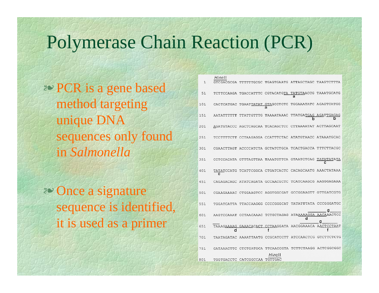## Polymerase Chain Reaction (PCR)

 $111 - 11$ 

v PCR is a gene based method targeting unique DNA sequences only found in *Salmonella*

<sup>2</sup> Once a signature sequence is identified, it is used as a primer

| 1   | ,,,,,,,,                                               |                                  |                                             | GTCGACGCGA TTTTTTGCGC TGAGTGAATG ATTAGCTAGC TAAGTCTTTA |            |
|-----|--------------------------------------------------------|----------------------------------|---------------------------------------------|--------------------------------------------------------|------------|
| 51  |                                                        |                                  | TCTTCCAAGA TGACCATTTC CGTACATGTA TATGTAACCG | a                                                      | TAAATGCATG |
| 101 | CACTCATGAC                                             | TGAATTATAT                       | a                                           | GTAGCCTCTC TGGAAATATC AGAGTCATGG                       |            |
| 151 | AATATTTTTT TTATTGTTTG                                  |                                  | TAAAATAAAC                                  | TTATGATGAG AGATTGAGAG<br>h                             |            |
| 201 |                                                        |                                  |                                             | AGATGTACCC AGCTCAGCAA TCACAGCTCC CTTAAAATAT ACTTAGCAAT |            |
| 251 |                                                        |                                  |                                             | TCCTTTTCTT CCTAAGAGGA CCATTTCTAC ATATGTAACC ATAAATGCAC |            |
| 301 |                                                        |                                  |                                             | CGAACTTAGT ACCCCATCTA GCTATCTGCA TCACTGACCA TTTCTTACGC |            |
| 351 |                                                        |                                  |                                             | CCTCCACATA GTTTAGTTAA TAAATGTTCA GTAATCTCAG            |            |
| 401 |                                                        |                                  |                                             | TATATCCATG TCATTCGGCA CTGATCACTC CACAGCAATG AAACTATAAA |            |
| 451 |                                                        |                                  |                                             | CAGAGACAGC ATATCAGATA GCCAACGCTC TCATCAAGCG AAGGGAGAAA |            |
| 501 |                                                        |                                  |                                             | CGAAGAAAAC CTGGAAGTCC AGGTGGCGAT GCCGGAAGTT GTTGATCGTG |            |
| 551 |                                                        | TGGATCATTA TTACCAAGGG CCCCGGGCAT |                                             | TATATTTATA CCCGGGATGC                                  |            |
| 601 |                                                        |                                  |                                             | AAGTCCAAAT CCTAACAAAC TCTGCTAGAG ATAAAAAGGA AACAAACTCC |            |
| 651 |                                                        |                                  | $\overline{f}$                              | TAAAGAAAAG GAAACACACT CCTAAGGATA AACGGAAACA AACTCCTAAT |            |
| 701 | TAATAGATAC AAAATTAATG CCGCATCCTT ATCCAACTCG GTCTTCTCTG |                                  |                                             |                                                        |            |
| 751 |                                                        |                                  |                                             | GATAAACTTC CTCTGATGCA TTCAACCGTA TCTTCTAAGG ACTCGGCGGC |            |
| 801 |                                                        | TGGTGACCTC CATCGGCCAA TGTTGAC    | Hincll                                      |                                                        |            |
|     |                                                        |                                  |                                             |                                                        |            |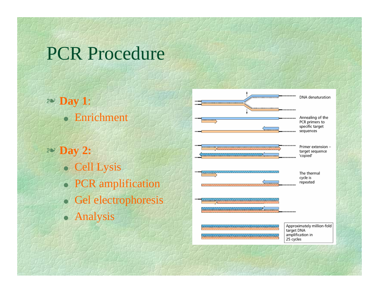# PCR Procedure

- v **Day 1**: • Enrichment
- v **Day 2:**
	- Cell Lysis
	- PCR amplification
	- O Gel electrophoresis
	- Analysis

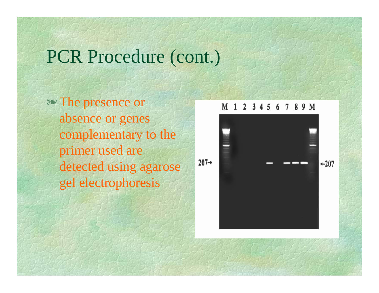# PCR Procedure (cont.)

*P* The presence or absence or genes complementary to the primer used are detected using agarose gel electrophoresis

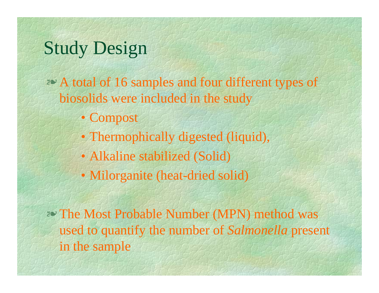# Study Design

<sup>2</sup> A total of 16 samples and four different types of biosolids were included in the study

- Compost
- Thermophically digested (liquid),
- Alkaline stabilized (Solid)
- Milorganite (heat-dried solid)

v The Most Probable Number (MPN) method was used to quantify the number of *Salmonella* presen<sup>t</sup> in the sample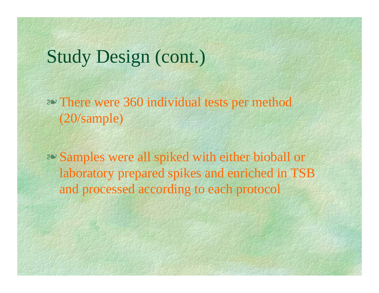# Study Design (cont.)

 $\approx$  There were 360 individual tests per method (20/sample)

**EXAMPLES** were all spiked with either bioball or laboratory prepared spikes and enriched in TSB and processed according to each protocol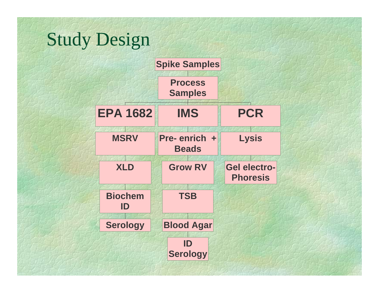# Study Design

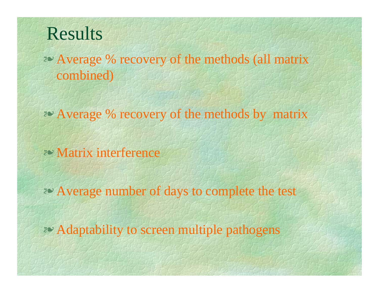# Results

**EV** Average % recovery of the methods (all matrix combined)

**EXAVERAGE % recovery of the methods by matrix** 

*E* Matrix interference

≥ Average number of days to complete the test

≥ Adaptability to screen multiple pathogens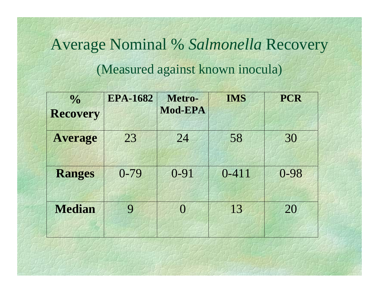# Average Nominal % *Salmonella* Recovery (Measured against known inocula)

| $\frac{0}{0}$<br><b>Recovery</b> | <b>EPA-1682</b> | Metro-<br>Mod-EPA | <b>IMS</b> | <b>PCR</b> |
|----------------------------------|-----------------|-------------------|------------|------------|
| <b>Average</b>                   | 23              | 24                | 58         | 30         |
| <b>Ranges</b>                    | $0 - 79$        | $0 - 91$          | $0 - 411$  | $0 - 98$   |
| <b>Median</b>                    | 9               | $\Omega$          | 13         | 20         |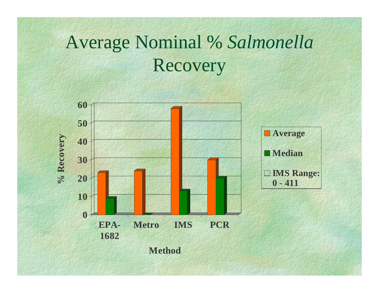# Average Nominal % *Salmonella* Recovery

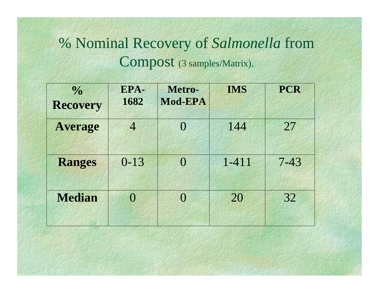## % Nominal Recovery of *Salmonella* from Compost (3 samples/Matrix).

| $\frac{0}{0}$<br><b>Recovery</b> | EPA-<br>1682 | Metro-<br>Mod-EPA | <b>IMS</b> | <b>PCR</b> |
|----------------------------------|--------------|-------------------|------------|------------|
| <b>Average</b>                   | 4            | $\Omega$          | 144        | 27         |
| <b>Ranges</b>                    | $0 - 13$     | $\left( \right)$  | $1 - 411$  | $7 - 43$   |
| <b>Median</b>                    | $\Omega$     | $\Omega$          | 20         | 32         |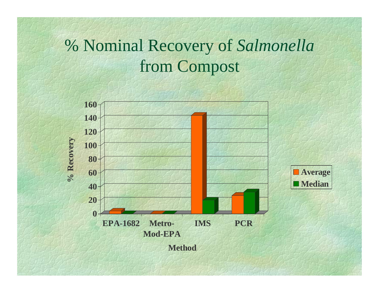# % Nominal Recovery of *Salmonella* from Compost

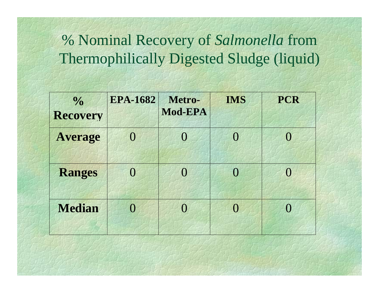## % Nominal Recovery of *Salmonella* from Thermophilically Digested Sludge (liquid)

| $\frac{0}{0}$<br><b>Recovery</b> | <b>EPA-1682</b>  | Metro-<br>Mod-EPA | <b>IMS</b>     | <b>PCR</b>       |
|----------------------------------|------------------|-------------------|----------------|------------------|
| <b>Average</b>                   | $\left( \right)$ | $\overline{0}$    | $\overline{0}$ | $\left( \right)$ |
| <b>Ranges</b>                    | $\left( \right)$ | $\overline{0}$    | $\bigcap$      | 0                |
| <b>Median</b>                    |                  | $\left( \right)$  | $\Omega$       | $\Omega$         |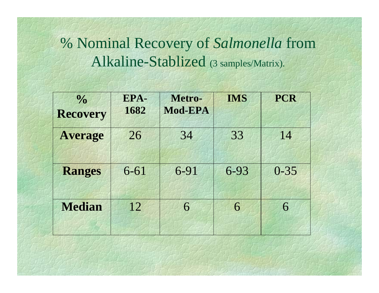% Nominal Recovery of *Salmonella* from Alkaline-Stablized (3 samples/Matrix).

| $\frac{0}{0}$<br><b>Recovery</b> | EPA-<br>1682 | Metro-<br>Mod-EPA | <b>IMS</b> | <b>PCR</b> |
|----------------------------------|--------------|-------------------|------------|------------|
| <b>Average</b>                   | 26           | 34                | 33         | 14         |
| <b>Ranges</b>                    | $6 - 61$     | 6-91              | 6-93       | $0 - 35$   |
| <b>Median</b>                    | 12           | 6                 | 6          | 6          |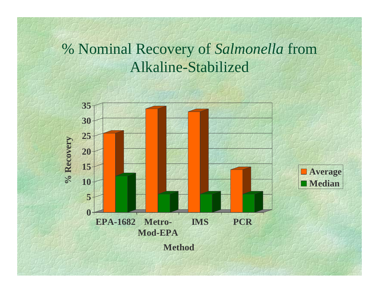### % Nominal Recovery of *Salmonella* from Alkaline-Stabilized

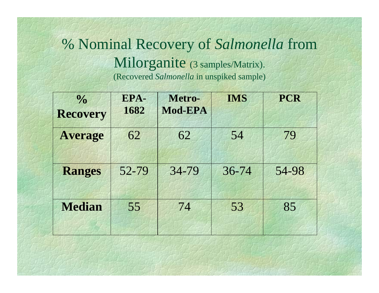#### % Nominal Recovery of *Salmonella* from Milorganite (3 samples/Matrix). (Recovered *Salmonella* in unspiked sample)

| $\frac{0}{0}$<br><b>Recovery</b> | EPA-<br>1682 | Metro-<br>Mod-EPA | <b>IMS</b> | <b>PCR</b> |
|----------------------------------|--------------|-------------------|------------|------------|
| <b>Average</b>                   | 62           | 62                | 54         | 79         |
| <b>Ranges</b>                    | 52-79        | 34-79             | $36 - 74$  | 54-98      |
| <b>Median</b>                    | 55           | 74                | 53         | 85         |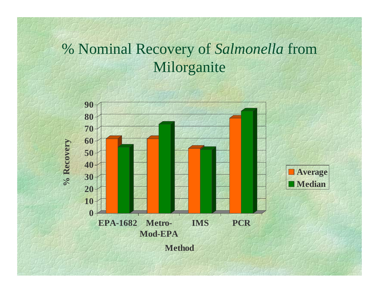## % Nominal Recovery of *Salmonella* from Milorganite

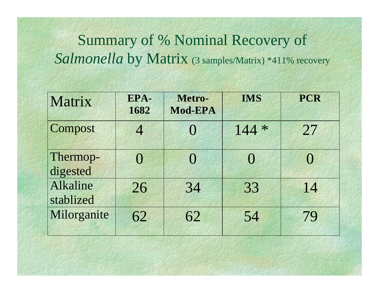## Summary of % Nominal Recovery of Salmonella by Matrix (3 samples/Matrix) \*411% recovery

| Matrix                | EPA-<br>1682 | Metro-<br>Mod-EPA | <b>IMS</b>       | <b>PCR</b> |
|-----------------------|--------------|-------------------|------------------|------------|
| Compost               | 4            |                   | $144 *$          | 27         |
| Thermop-<br>digested  | $\Omega$     | $\Omega$          | $\left( \right)$ | 0          |
| Alkaline<br>stablized | 26           | 34                | 33               | 14         |
| Milorganite           | 62           | 62                | 54               | 79         |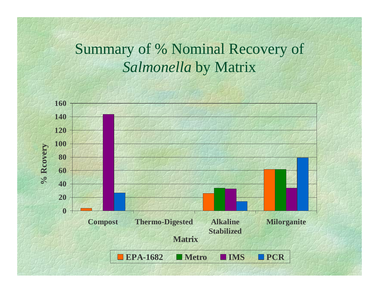## Summary of % Nominal Recovery of *Salmonella* by Matrix

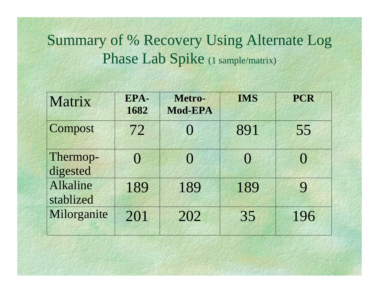## Summary of % Recovery Using Alternate Log Phase Lab Spike (1 sample/matrix)

| Matrix                | EPA-<br>1682     | Metro-<br>Mod-EPA | <b>IMS</b> | <b>PCR</b> |
|-----------------------|------------------|-------------------|------------|------------|
| Compost               | 72               | $\left( \right)$  | 891        | 55         |
| Thermop-<br>digested  | $\left( \right)$ | $\Omega$          | $\Omega$   | $\Omega$   |
| Alkaline<br>stablized | 189              | 189               | 189        | 9          |
| Milorganite           | 201              | 202               | 35         | 196        |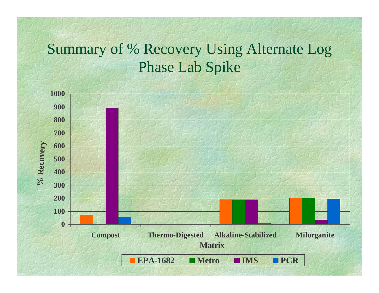## Summary of % Recovery Using Alternate Log Phase Lab Spike

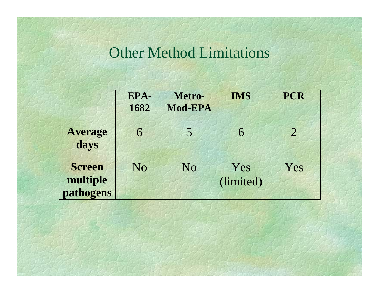#### Other Method Limitations

|                                        | EPA-<br>1682   | Metro-<br>Mod-EPA | <b>IMS</b>       | <b>PCR</b>     |
|----------------------------------------|----------------|-------------------|------------------|----------------|
| <b>Average</b><br>days                 | 6              | 5                 | 6                | $\overline{2}$ |
| <b>Screen</b><br>multiple<br>pathogens | N <sub>o</sub> | N <sub>o</sub>    | Yes<br>(limited) | Yes            |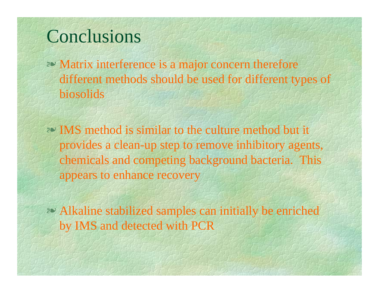## Conclusions

- **EV** Matrix interference is a major concern therefore different methods should be used for different types of biosolids
- **EXACTE:** IMS method is similar to the culture method but it provides a clean-up step to remove inhibitory agents, chemicals and competing background bacteria. This appears to enhance recovery
- **EXAlkaline stabilized samples can initially be enriched** by IMS and detected with PCR